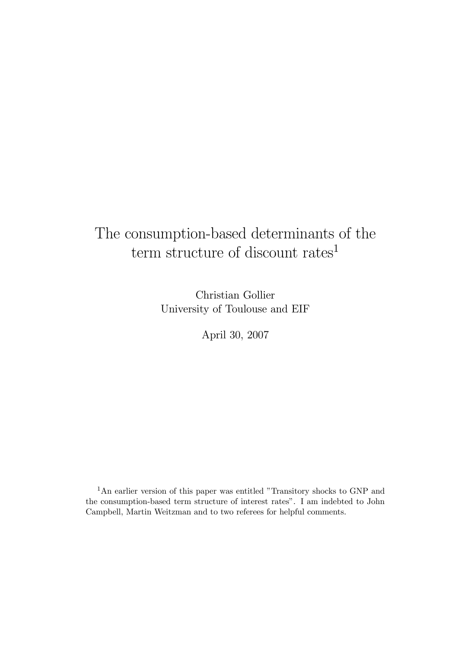# The consumption-based determinants of the term structure of discount rates<sup>1</sup>

Christian Gollier University of Toulouse and EIF

April 30, 2007

<sup>1</sup>An earlier version of this paper was entitled "Transitory shocks to GNP and the consumption-based term structure of interest rates". I am indebted to John Campbell, Martin Weitzman and to two referees for helpful comments.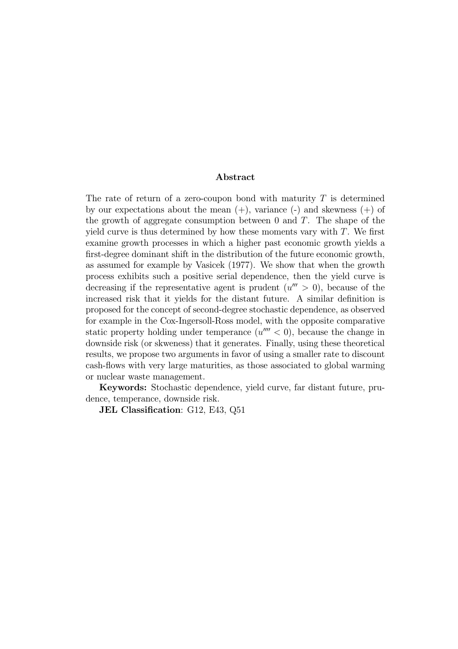#### Abstract

The rate of return of a zero-coupon bond with maturity  $T$  is determined by our expectations about the mean  $(+)$ , variance  $(-)$  and skewness  $(+)$  of the growth of aggregate consumption between  $0$  and  $T$ . The shape of the yield curve is thus determined by how these moments vary with  $T$ . We first examine growth processes in which a higher past economic growth yields a first-degree dominant shift in the distribution of the future economic growth, as assumed for example by Vasicek (1977). We show that when the growth process exhibits such a positive serial dependence, then the yield curve is decreasing if the representative agent is prudent  $(u'' > 0)$ , because of the increased risk that it yields for the distant future. A similar definition is proposed for the concept of second-degree stochastic dependence, as observed for example in the Cox-Ingersoll-Ross model, with the opposite comparative static property holding under temperance  $(u'''' < 0)$ , because the change in downside risk (or skweness) that it generates. Finally, using these theoretical results, we propose two arguments in favor of using a smaller rate to discount cash-flows with very large maturities, as those associated to global warming or nuclear waste management.

Keywords: Stochastic dependence, yield curve, far distant future, prudence, temperance, downside risk.

JEL Classification: G12, E43, Q51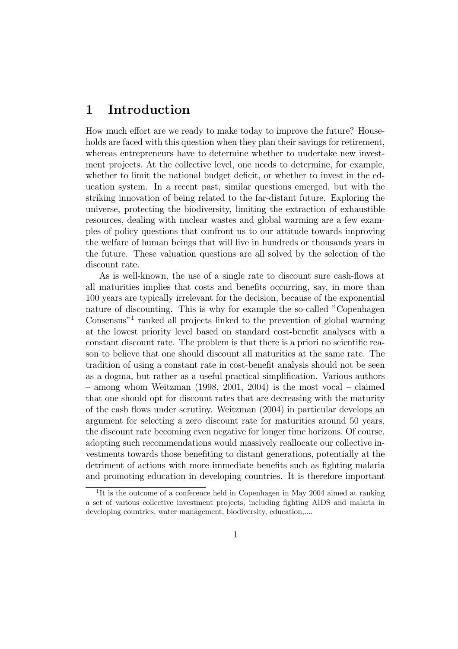## 1 Introduction

How much effort are we ready to make today to improve the future? Households are faced with this question when they plan their savings for retirement, whereas entrepreneurs have to determine whether to undertake new investment projects. At the collective level, one needs to determine, for example, whether to limit the national budget deficit, or whether to invest in the education system. In a recent past, similar questions emerged, but with the striking innovation of being related to the far-distant future. Exploring the universe, protecting the biodiversity, limiting the extraction of exhaustible resources, dealing with nuclear wastes and global warming are a few examples of policy questions that confront us to our attitude towards improving the welfare of human beings that will live in hundreds or thousands years in the future. These valuation questions are all solved by the selection of the discount rate.

As is well-known, the use of a single rate to discount sure cash-flows at all maturities implies that costs and benefits occurring, say, in more than 100 years are typically irrelevant for the decision, because of the exponential nature of discounting. This is why for example the so-called "Copenhagen Consensus"<sup>1</sup> ranked all projects linked to the prevention of global warming at the lowest priority level based on standard cost-benefit analyses with a constant discount rate. The problem is that there is a priori no scientific reason to believe that one should discount all maturities at the same rate. The tradition of using a constant rate in cost-benefit analysis should not be seen as a dogma, but rather as a useful practical simplification. Various authors  $-$  among whom Weitzman (1998, 2001, 2004) is the most vocal  $-$  claimed that one should opt for discount rates that are decreasing with the maturity of the cash flows under scrutiny. Weitzman (2004) in particular develops an argument for selecting a zero discount rate for maturities around 50 years, the discount rate becoming even negative for longer time horizons. Of course, adopting such recommendations would massively reallocate our collective investments towards those benefiting to distant generations, potentially at the detriment of actions with more immediate benefits such as fighting malaria and promoting education in developing countries. It is therefore important

<sup>&</sup>lt;sup>1</sup>It is the outcome of a conference held in Copenhagen in May 2004 aimed at ranking a set of various collective investment projects, including fighting AIDS and malaria in developing countries, water management, biodiversity, education,....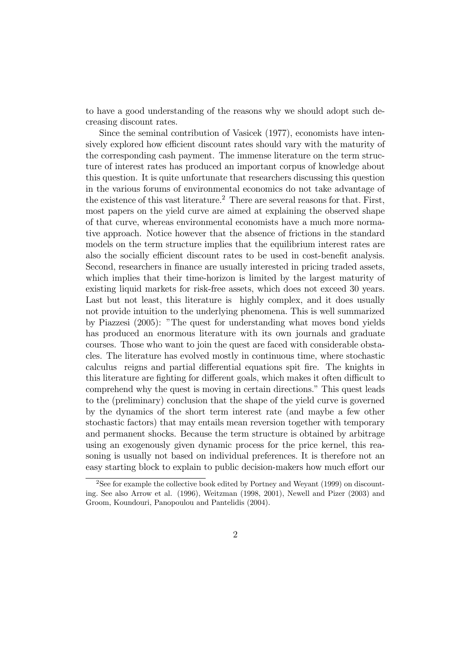to have a good understanding of the reasons why we should adopt such decreasing discount rates.

Since the seminal contribution of Vasicek (1977), economists have intensively explored how efficient discount rates should vary with the maturity of the corresponding cash payment. The immense literature on the term structure of interest rates has produced an important corpus of knowledge about this question. It is quite unfortunate that researchers discussing this question in the various forums of environmental economics do not take advantage of the existence of this vast literature.<sup>2</sup> There are several reasons for that. First, most papers on the yield curve are aimed at explaining the observed shape of that curve, whereas environmental economists have a much more normative approach. Notice however that the absence of frictions in the standard models on the term structure implies that the equilibrium interest rates are also the socially efficient discount rates to be used in cost-benefit analysis. Second, researchers in finance are usually interested in pricing traded assets, which implies that their time-horizon is limited by the largest maturity of existing liquid markets for risk-free assets, which does not exceed 30 years. Last but not least, this literature is highly complex, and it does usually not provide intuition to the underlying phenomena. This is well summarized by Piazzesi (2005): "The quest for understanding what moves bond yields has produced an enormous literature with its own journals and graduate courses. Those who want to join the quest are faced with considerable obstacles. The literature has evolved mostly in continuous time, where stochastic calculus reigns and partial differential equations spit fire. The knights in this literature are fighting for different goals, which makes it often difficult to comprehend why the quest is moving in certain directions." This quest leads to the (preliminary) conclusion that the shape of the yield curve is governed by the dynamics of the short term interest rate (and maybe a few other stochastic factors) that may entails mean reversion together with temporary and permanent shocks. Because the term structure is obtained by arbitrage using an exogenously given dynamic process for the price kernel, this reasoning is usually not based on individual preferences. It is therefore not an easy starting block to explain to public decision-makers how much effort our

<sup>2</sup>See for example the collective book edited by Portney and Weyant (1999) on discounting. See also Arrow et al. (1996), Weitzman (1998, 2001), Newell and Pizer (2003) and Groom, Koundouri, Panopoulou and Pantelidis (2004).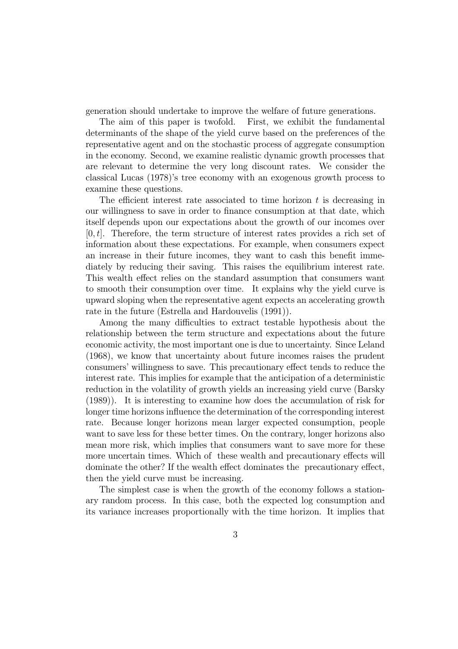generation should undertake to improve the welfare of future generations.

The aim of this paper is twofold. First, we exhibit the fundamental determinants of the shape of the yield curve based on the preferences of the representative agent and on the stochastic process of aggregate consumption in the economy. Second, we examine realistic dynamic growth processes that are relevant to determine the very long discount rates. We consider the classical Lucas (1978)'s tree economy with an exogenous growth process to examine these questions.

The efficient interest rate associated to time horizon  $t$  is decreasing in our willingness to save in order to finance consumption at that date, which itself depends upon our expectations about the growth of our incomes over  $[0, t]$ . Therefore, the term structure of interest rates provides a rich set of information about these expectations. For example, when consumers expect an increase in their future incomes, they want to cash this benefit immediately by reducing their saving. This raises the equilibrium interest rate. This wealth effect relies on the standard assumption that consumers want to smooth their consumption over time. It explains why the yield curve is upward sloping when the representative agent expects an accelerating growth rate in the future (Estrella and Hardouvelis (1991)).

Among the many difficulties to extract testable hypothesis about the relationship between the term structure and expectations about the future economic activity, the most important one is due to uncertainty. Since Leland (1968), we know that uncertainty about future incomes raises the prudent consumers' willingness to save. This precautionary effect tends to reduce the interest rate. This implies for example that the anticipation of a deterministic reduction in the volatility of growth yields an increasing yield curve (Barsky (1989)). It is interesting to examine how does the accumulation of risk for longer time horizons influence the determination of the corresponding interest rate. Because longer horizons mean larger expected consumption, people want to save less for these better times. On the contrary, longer horizons also mean more risk, which implies that consumers want to save more for these more uncertain times. Which of these wealth and precautionary effects will dominate the other? If the wealth effect dominates the precautionary effect, then the yield curve must be increasing.

The simplest case is when the growth of the economy follows a stationary random process. In this case, both the expected log consumption and its variance increases proportionally with the time horizon. It implies that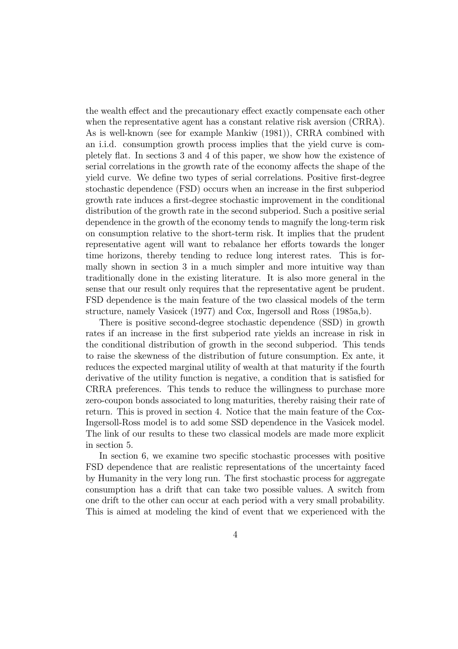the wealth effect and the precautionary effect exactly compensate each other when the representative agent has a constant relative risk aversion (CRRA). As is well-known (see for example Mankiw (1981)), CRRA combined with an i.i.d. consumption growth process implies that the yield curve is completely flat. In sections 3 and 4 of this paper, we show how the existence of serial correlations in the growth rate of the economy affects the shape of the yield curve. We define two types of serial correlations. Positive first-degree stochastic dependence (FSD) occurs when an increase in the first subperiod growth rate induces a first-degree stochastic improvement in the conditional distribution of the growth rate in the second subperiod. Such a positive serial dependence in the growth of the economy tends to magnify the long-term risk on consumption relative to the short-term risk. It implies that the prudent representative agent will want to rebalance her efforts towards the longer time horizons, thereby tending to reduce long interest rates. This is formally shown in section 3 in a much simpler and more intuitive way than traditionally done in the existing literature. It is also more general in the sense that our result only requires that the representative agent be prudent. FSD dependence is the main feature of the two classical models of the term structure, namely Vasicek (1977) and Cox, Ingersoll and Ross (1985a,b).

There is positive second-degree stochastic dependence (SSD) in growth rates if an increase in the first subperiod rate yields an increase in risk in the conditional distribution of growth in the second subperiod. This tends to raise the skewness of the distribution of future consumption. Ex ante, it reduces the expected marginal utility of wealth at that maturity if the fourth derivative of the utility function is negative, a condition that is satisfied for CRRA preferences. This tends to reduce the willingness to purchase more zero-coupon bonds associated to long maturities, thereby raising their rate of return. This is proved in section 4. Notice that the main feature of the Cox-Ingersoll-Ross model is to add some SSD dependence in the Vasicek model. The link of our results to these two classical models are made more explicit in section 5.

In section 6, we examine two specific stochastic processes with positive FSD dependence that are realistic representations of the uncertainty faced by Humanity in the very long run. The first stochastic process for aggregate consumption has a drift that can take two possible values. A switch from one drift to the other can occur at each period with a very small probability. This is aimed at modeling the kind of event that we experienced with the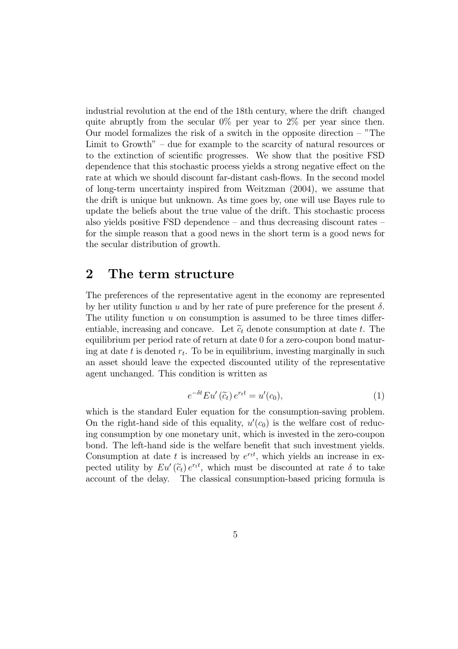industrial revolution at the end of the 18th century, where the drift changed quite abruptly from the secular  $0\%$  per year to  $2\%$  per year since then. Our model formalizes the risk of a switch in the opposite direction  $-$  "The Limit to Growth" – due for example to the scarcity of natural resources or to the extinction of scientific progresses. We show that the positive FSD dependence that this stochastic process yields a strong negative effect on the rate at which we should discount far-distant cash-flows. In the second model of long-term uncertainty inspired from Weitzman (2004), we assume that the drift is unique but unknown. As time goes by, one will use Bayes rule to update the beliefs about the true value of the drift. This stochastic process also yields positive FSD dependence — and thus decreasing discount rates for the simple reason that a good news in the short term is a good news for the secular distribution of growth.

## 2 The term structure

The preferences of the representative agent in the economy are represented by her utility function u and by her rate of pure preference for the present  $\delta$ . The utility function  $u$  on consumption is assumed to be three times differentiable, increasing and concave. Let  $\tilde{c}_t$  denote consumption at date t. The equilibrium per period rate of return at date 0 for a zero-coupon bond maturing at date t is denoted  $r_t$ . To be in equilibrium, investing marginally in such an asset should leave the expected discounted utility of the representative agent unchanged. This condition is written as

$$
e^{-\delta t}Eu'\left(\widetilde{c}_t\right)e^{rt}=u'(c_0),\tag{1}
$$

which is the standard Euler equation for the consumption-saving problem. On the right-hand side of this equality,  $u'(c_0)$  is the welfare cost of reducing consumption by one monetary unit, which is invested in the zero-coupon bond. The left-hand side is the welfare benefit that such investment yields. Consumption at date t is increased by  $e^{rt}$ , which yields an increase in expected utility by  $Eu'(\widetilde{c}_t) e^{rt}$ , which must be discounted at rate  $\delta$  to take account of the delay. The classical consumption-based pricing formula is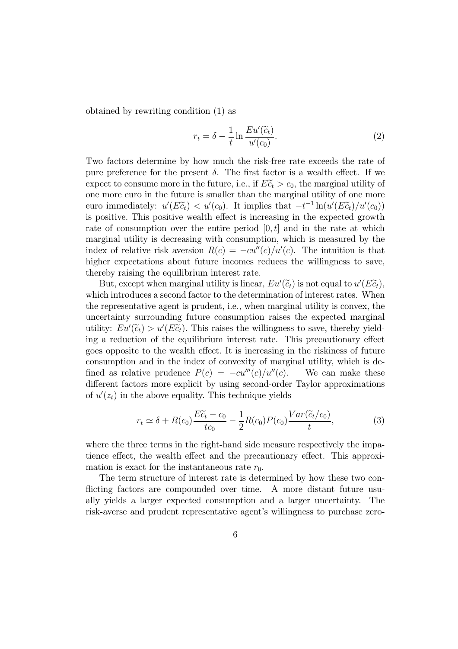obtained by rewriting condition (1) as

$$
r_t = \delta - \frac{1}{t} \ln \frac{Eu'(\tilde{c}_t)}{u'(c_0)}.
$$
 (2)

Two factors determine by how much the risk-free rate exceeds the rate of pure preference for the present  $\delta$ . The first factor is a wealth effect. If we expect to consume more in the future, i.e., if  $E_t \tilde{c}_t > c_0$ , the marginal utility of one more euro in the future is smaller than the marginal utility of one more euro immediately:  $u'(E\tilde{c}_t) < u'(c_0)$ . It implies that  $-t^{-1}\ln(u'(E\tilde{c}_t)/u'(c_0))$ is positive. This positive wealth effect is increasing in the expected growth rate of consumption over the entire period  $[0, t]$  and in the rate at which marginal utility is decreasing with consumption, which is measured by the index of relative risk aversion  $R(c) = -cu''(c)/u'(c)$ . The intuition is that higher expectations about future incomes reduces the willingness to save, thereby raising the equilibrium interest rate.

But, except when marginal utility is linear,  $Eu'(\widetilde{c}_t)$  is not equal to  $u'(E\widetilde{c}_t)$ , which introduces a second factor to the determination of interest rates. When the representative agent is prudent, i.e., when marginal utility is convex, the uncertainty surrounding future consumption raises the expected marginal utility:  $Eu'(\widetilde{c}_t) > u'(E\widetilde{c}_t)$ . This raises the willingness to save, thereby yielding a reduction of the equilibrium interest rate. This precautionary effect goes opposite to the wealth effect. It is increasing in the riskiness of future consumption and in the index of convexity of marginal utility, which is defined as relative prudence  $P(c) = -cu'''(c)/u''(c)$ . We can make these different factors more explicit by using second-order Taylor approximations of  $u'(z_t)$  in the above equality. This technique yields

$$
r_t \simeq \delta + R(c_0) \frac{E\tilde{c}_t - c_0}{tc_0} - \frac{1}{2}R(c_0)P(c_0) \frac{Var(\tilde{c}_t/c_0)}{t},\tag{3}
$$

where the three terms in the right-hand side measure respectively the impatience effect, the wealth effect and the precautionary effect. This approximation is exact for the instantaneous rate  $r_0$ .

The term structure of interest rate is determined by how these two conflicting factors are compounded over time. A more distant future usually yields a larger expected consumption and a larger uncertainty. The risk-averse and prudent representative agent's willingness to purchase zero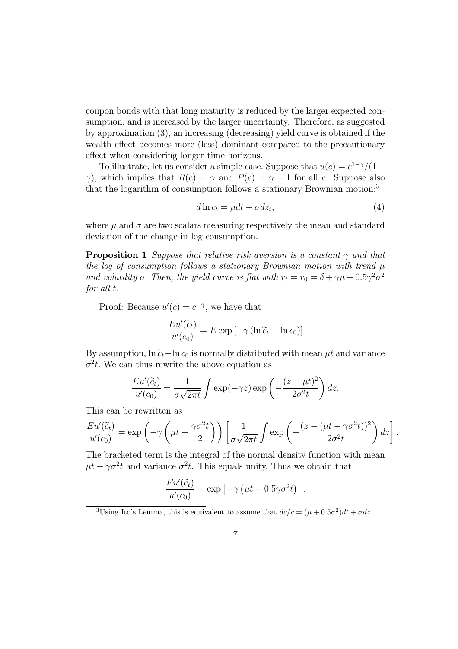coupon bonds with that long maturity is reduced by the larger expected consumption, and is increased by the larger uncertainty. Therefore, as suggested by approximation (3), an increasing (decreasing) yield curve is obtained if the wealth effect becomes more (less) dominant compared to the precautionary effect when considering longer time horizons.

To illustrate, let us consider a simple case. Suppose that  $u(c) = c^{1-\gamma}/(1-\gamma)$ γ), which implies that  $R(c) = \gamma$  and  $P(c) = \gamma + 1$  for all c. Suppose also that the logarithm of consumption follows a stationary Brownian motion:<sup>3</sup>

$$
d\ln c_t = \mu dt + \sigma dz_t,\tag{4}
$$

.

where  $\mu$  and  $\sigma$  are two scalars measuring respectively the mean and standard deviation of the change in log consumption.

**Proposition 1** Suppose that relative risk aversion is a constant  $\gamma$  and that the log of consumption follows a stationary Brownian motion with trend  $\mu$ and volatility  $\sigma$ . Then, the yield curve is flat with  $r_t = r_0 = \delta + \gamma \mu - 0.5 \gamma^2 \sigma^2$ for all t.

Proof: Because  $u'(c) = c^{-\gamma}$ , we have that

$$
\frac{Eu'(\widetilde{c}_t)}{u'(c_0)} = E \exp \left[ -\gamma \left( \ln \widetilde{c}_t - \ln c_0 \right) \right]
$$

By assumption,  $\ln \tilde{c}_t$ −ln  $c_0$  is normally distributed with mean  $\mu t$  and variance  $\sigma^2 t$ . We can thus rewrite the above equation as

$$
\frac{Eu'(\widetilde{c}_t)}{u'(c_0)} = \frac{1}{\sigma\sqrt{2\pi t}} \int \exp(-\gamma z) \exp\left(-\frac{(z-\mu t)^2}{2\sigma^2 t}\right) dz.
$$

This can be rewritten as

$$
\frac{Eu'(\widetilde{c}_t)}{u'(c_0)} = \exp\left(-\gamma \left(\mu t - \frac{\gamma \sigma^2 t}{2}\right)\right) \left[\frac{1}{\sigma \sqrt{2\pi t}} \int \exp\left(-\frac{(z - (\mu t - \gamma \sigma^2 t))^2}{2\sigma^2 t}\right) dz\right]
$$

The bracketed term is the integral of the normal density function with mean  $\mu t - \gamma \sigma^2 t$  and variance  $\sigma^2 t$ . This equals unity. Thus we obtain that

$$
\frac{Eu'(\widetilde{c}_t)}{u'(c_0)} = \exp \left[ -\gamma \left( \mu t - 0.5 \gamma \sigma^2 t \right) \right].
$$

<sup>&</sup>lt;sup>3</sup>Using Ito's Lemma, this is equivalent to assume that  $dc/c = (\mu + 0.5\sigma^2)dt + \sigma dz$ .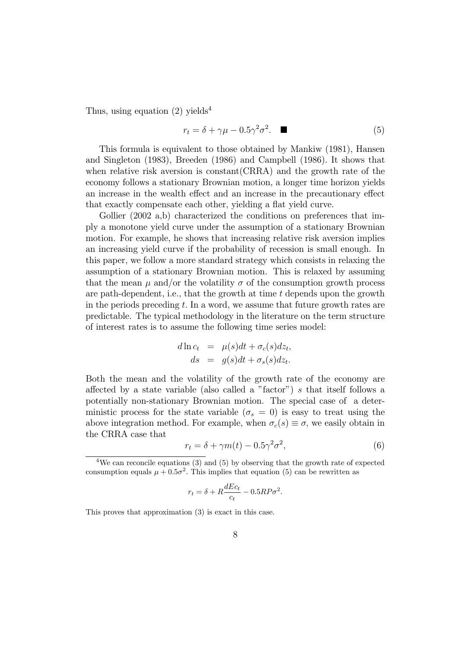Thus, using equation  $(2)$  yields<sup>4</sup>

$$
r_t = \delta + \gamma \mu - 0.5 \gamma^2 \sigma^2. \tag{5}
$$

This formula is equivalent to those obtained by Mankiw (1981), Hansen and Singleton (1983), Breeden (1986) and Campbell (1986). It shows that when relative risk aversion is constant(CRRA) and the growth rate of the economy follows a stationary Brownian motion, a longer time horizon yields an increase in the wealth effect and an increase in the precautionary effect that exactly compensate each other, yielding a flat yield curve.

Gollier (2002 a,b) characterized the conditions on preferences that imply a monotone yield curve under the assumption of a stationary Brownian motion. For example, he shows that increasing relative risk aversion implies an increasing yield curve if the probability of recession is small enough. In this paper, we follow a more standard strategy which consists in relaxing the assumption of a stationary Brownian motion. This is relaxed by assuming that the mean  $\mu$  and/or the volatility  $\sigma$  of the consumption growth process are path-dependent, i.e., that the growth at time t depends upon the growth in the periods preceding  $t$ . In a word, we assume that future growth rates are predictable. The typical methodology in the literature on the term structure of interest rates is to assume the following time series model:

$$
d \ln c_t = \mu(s)dt + \sigma_c(s)dz_t,
$$
  
\n
$$
ds = g(s)dt + \sigma_s(s)dz_t.
$$

Both the mean and the volatility of the growth rate of the economy are affected by a state variable (also called a "factor") s that itself follows a potentially non-stationary Brownian motion. The special case of a deterministic process for the state variable ( $\sigma_s = 0$ ) is easy to treat using the above integration method. For example, when  $\sigma_c(s) \equiv \sigma$ , we easily obtain in the CRRA case that

$$
r_t = \delta + \gamma m(t) - 0.5\gamma^2 \sigma^2,\tag{6}
$$

$$
r_t = \delta + R \frac{dEc_t}{c_t} - 0.5RP\sigma^2.
$$

This proves that approximation (3) is exact in this case.

<sup>&</sup>lt;sup>4</sup>We can reconcile equations (3) and (5) by observing that the growth rate of expected consumption equals  $\mu + 0.5\sigma^2$ . This implies that equation (5) can be rewritten as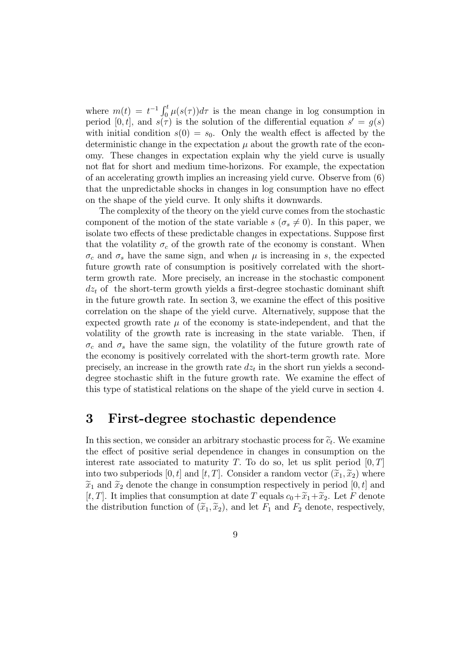where  $m(t) = t^{-1} \int_0^t \mu(s(\tau)) d\tau$  is the mean change in log consumption in period [0, t], and  $s(\tau)$  is the solution of the differential equation  $s' = q(s)$ with initial condition  $s(0) = s_0$ . Only the wealth effect is affected by the deterministic change in the expectation  $\mu$  about the growth rate of the economy. These changes in expectation explain why the yield curve is usually not flat for short and medium time-horizons. For example, the expectation of an accelerating growth implies an increasing yield curve. Observe from (6) that the unpredictable shocks in changes in log consumption have no effect on the shape of the yield curve. It only shifts it downwards.

The complexity of the theory on the yield curve comes from the stochastic component of the motion of the state variable  $s(\sigma_s \neq 0)$ . In this paper, we isolate two effects of these predictable changes in expectations. Suppose first that the volatility  $\sigma_c$  of the growth rate of the economy is constant. When  $\sigma_c$  and  $\sigma_s$  have the same sign, and when  $\mu$  is increasing in s, the expected future growth rate of consumption is positively correlated with the shortterm growth rate. More precisely, an increase in the stochastic component  $dz<sub>t</sub>$  of the short-term growth yields a first-degree stochastic dominant shift in the future growth rate. In section 3, we examine the effect of this positive correlation on the shape of the yield curve. Alternatively, suppose that the expected growth rate  $\mu$  of the economy is state-independent, and that the volatility of the growth rate is increasing in the state variable. Then, if  $\sigma_c$  and  $\sigma_s$  have the same sign, the volatility of the future growth rate of the economy is positively correlated with the short-term growth rate. More precisely, an increase in the growth rate  $dz_t$  in the short run yields a seconddegree stochastic shift in the future growth rate. We examine the effect of this type of statistical relations on the shape of the yield curve in section 4.

# 3 First-degree stochastic dependence

In this section, we consider an arbitrary stochastic process for  $\tilde{c}_t$ . We examine the effect of positive serial dependence in changes in consumption on the interest rate associated to maturity T. To do so, let us split period  $[0, T]$ into two subperiods [0, t] and [t, T]. Consider a random vector  $(\widetilde{x}_1, \widetilde{x}_2)$  where  $\tilde{x}_1$  and  $\tilde{x}_2$  denote the change in consumption respectively in period [0, t] and [t, T]. It implies that consumption at date T equals  $c_0+\widetilde{x}_1+\widetilde{x}_2$ . Let F denote the distribution function of  $(\tilde{x}_1, \tilde{x}_2)$ , and let  $F_1$  and  $F_2$  denote, respectively,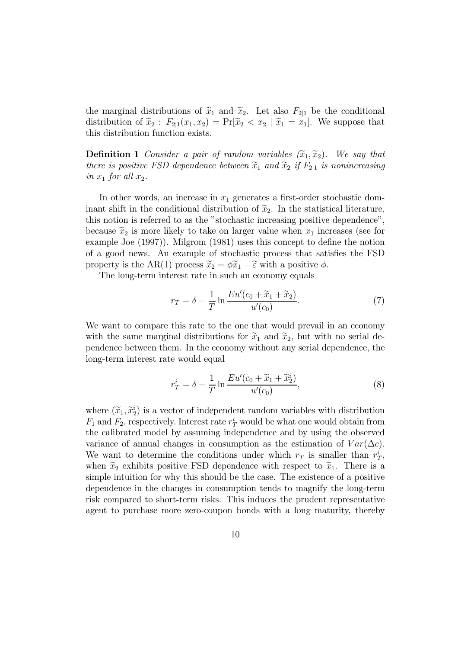the marginal distributions of  $\tilde{x}_1$  and  $\tilde{x}_2$ . Let also  $F_{2|1}$  be the conditional distribution of  $\tilde{x}_2$ :  $F_{2|1}(x_1, x_2) = \Pr[\tilde{x}_2 < x_2 \mid \tilde{x}_1 = x_1].$  We suppose that this distribution function exists.

**Definition 1** Consider a pair of random variables  $(\widetilde{x}_1, \widetilde{x}_2)$ . We say that there is positive FSD dependence between  $\tilde{x}_1$  and  $\tilde{x}_2$  if  $F_{2|1}$  is nonincreasing in  $x_1$  for all  $x_2$ .

In other words, an increase in  $x_1$  generates a first-order stochastic dominant shift in the conditional distribution of  $\tilde{x}_2$ . In the statistical literature, this notion is referred to as the "stochastic increasing positive dependence", because  $\tilde{x}_2$  is more likely to take on larger value when  $x_1$  increases (see for example Joe (1997)). Milgrom (1981) uses this concept to define the notion of a good news. An example of stochastic process that satisfies the FSD property is the AR(1) process  $\widetilde{x}_2 = \phi \widetilde{x}_1 + \widetilde{\varepsilon}$  with a positive  $\phi$ .

The long-term interest rate in such an economy equals

$$
r_T = \delta - \frac{1}{T} \ln \frac{E u'(c_0 + \widetilde{x}_1 + \widetilde{x}_2)}{u'(c_0)}.
$$
 (7)

We want to compare this rate to the one that would prevail in an economy with the same marginal distributions for  $\tilde{x}_1$  and  $\tilde{x}_2$ , but with no serial dependence between them. In the economy without any serial dependence, the long-term interest rate would equal

$$
r_T^i = \delta - \frac{1}{T} \ln \frac{E u'(c_0 + \widetilde{x}_1 + \widetilde{x}_2^i)}{u'(c_0)},\tag{8}
$$

where  $(\widetilde{x}_1, \widetilde{x}_2^i)$  is a vector of independent random variables with distribution  $F_1$  and  $F_2$ , respectively. Interest rate  $r_T^i$  would be what one would obtain from the calibrated model by assuming independence and by using the observed variance of annual changes in consumption as the estimation of  $Var(\Delta c)$ . We want to determine the conditions under which  $r_T$  is smaller than  $r_T^i$ , when  $\tilde{x}_2$  exhibits positive FSD dependence with respect to  $\tilde{x}_1$ . There is a simple intuition for why this should be the case. The existence of a positive dependence in the changes in consumption tends to magnify the long-term risk compared to short-term risks. This induces the prudent representative agent to purchase more zero-coupon bonds with a long maturity, thereby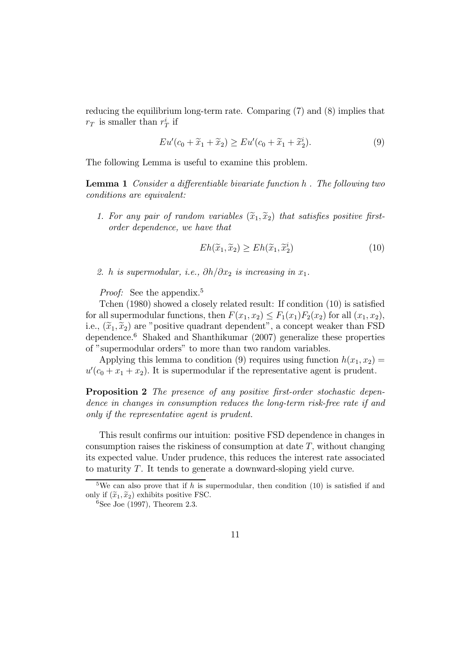reducing the equilibrium long-term rate. Comparing (7) and (8) implies that  $r_T$  is smaller than  $r_T^i$  if

$$
Eu'(c_0 + \widetilde{x}_1 + \widetilde{x}_2) \ge Eu'(c_0 + \widetilde{x}_1 + \widetilde{x}_2^i). \tag{9}
$$

The following Lemma is useful to examine this problem.

Lemma 1 Consider a differentiable bivariate function h . The following two conditions are equivalent:

1. For any pair of random variables  $(\widetilde{x}_1, \widetilde{x}_2)$  that satisfies positive firstorder dependence, we have that

$$
Eh(\widetilde{x}_1, \widetilde{x}_2) \ge Eh(\widetilde{x}_1, \widetilde{x}_2^i) \tag{10}
$$

2. h is supermodular, i.e.,  $\partial h/\partial x_2$  is increasing in  $x_1$ .

*Proof:* See the appendix.<sup>5</sup>

Tchen (1980) showed a closely related result: If condition (10) is satisfied for all supermodular functions, then  $F(x_1, x_2) \leq F_1(x_1) F_2(x_2)$  for all  $(x_1, x_2)$ , i.e.,  $(\tilde{x}_1, \tilde{x}_2)$  are "positive quadrant dependent", a concept weaker than FSD dependence.<sup>6</sup> Shaked and Shanthikumar (2007) generalize these properties of "supermodular orders" to more than two random variables.

Applying this lemma to condition (9) requires using function  $h(x_1, x_2) =$  $u'(c_0 + x_1 + x_2)$ . It is supermodular if the representative agent is prudent.

Proposition 2 The presence of any positive first-order stochastic dependence in changes in consumption reduces the long-term risk-free rate if and only if the representative agent is prudent.

This result confirms our intuition: positive FSD dependence in changes in consumption raises the riskiness of consumption at date  $T$ , without changing its expected value. Under prudence, this reduces the interest rate associated to maturity T. It tends to generate a downward-sloping yield curve.

<sup>&</sup>lt;sup>5</sup>We can also prove that if h is supermodular, then condition (10) is satisfied if and only if  $(\widetilde{x}_1, \widetilde{x}_2)$  exhibits positive FSC.

 $6$ See Joe (1997), Theorem 2.3.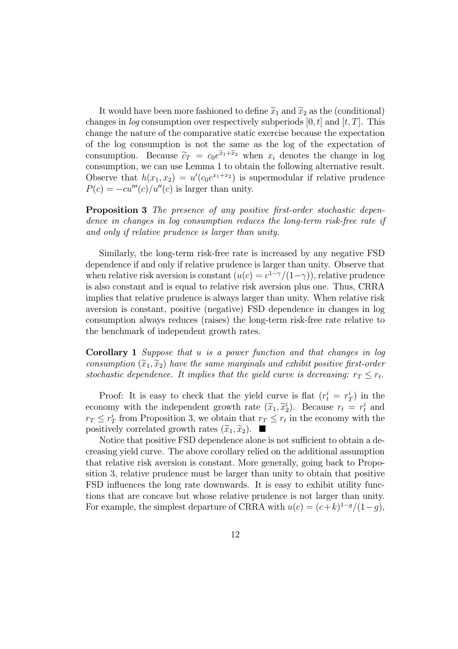It would have been more fashioned to define  $\tilde{x}_1$  and  $\tilde{x}_2$  as the (conditional) changes in *log* consumption over respectively subperiods  $[0, t]$  and  $[t, T]$ . This change the nature of the comparative static exercise because the expectation of the log consumption is not the same as the log of the expectation of consumption. Because  $\tilde{c}_T = c_0e^{\tilde{x}_1+\tilde{x}_2}$  when  $x_i$  denotes the change in log consumption, we can use Lemma 1 to obtain the following alternative result. Observe that  $h(x_1, x_2) = u'(c_0e^{x_1+x_2})$  is supermodular if relative prudence  $P(c) = -cu'''(c)/u''(c)$  is larger than unity.

Proposition 3 The presence of any positive first-order stochastic dependence in changes in log consumption reduces the long-term risk-free rate if and only if relative prudence is larger than unity.

Similarly, the long-term risk-free rate is increased by any negative FSD dependence if and only if relative prudence is larger than unity. Observe that when relative risk aversion is constant  $(u(c) = c^{1-\gamma}/(1-\gamma))$ , relative prudence is also constant and is equal to relative risk aversion plus one. Thus, CRRA implies that relative prudence is always larger than unity. When relative risk aversion is constant, positive (negative) FSD dependence in changes in log consumption always reduces (raises) the long-term risk-free rate relative to the benchmark of independent growth rates.

Corollary 1 Suppose that u is a power function and that changes in log consumption  $(\widetilde{x}_1, \widetilde{x}_2)$  have the same marginals and exhibit positive first-order stochastic dependence. It implies that the yield curve is decreasing:  $r_T \leq r_t$ .

Proof: It is easy to check that the yield curve is flat  $(r_t^i = r_T^i)$  in the economy with the independent growth rate  $(\tilde{x}_1, \tilde{x}_2^i)$ . Because  $r_t = r_t^i$  and  $r_T \leq r_T^i$  from Proposition 3, we obtain that  $r_T \leq r_t$  in the economy with the positively correlated growth rates  $(\widetilde{x}_1, \widetilde{x}_2)$ .

Notice that positive FSD dependence alone is not sufficient to obtain a decreasing yield curve. The above corollary relied on the additional assumption that relative risk aversion is constant. More generally, going back to Proposition 3, relative prudence must be larger than unity to obtain that positive FSD influences the long rate downwards. It is easy to exhibit utility functions that are concave but whose relative prudence is not larger than unity. For example, the simplest departure of CRRA with  $u(c)=(c+k)^{1-g}/(1-g)$ ,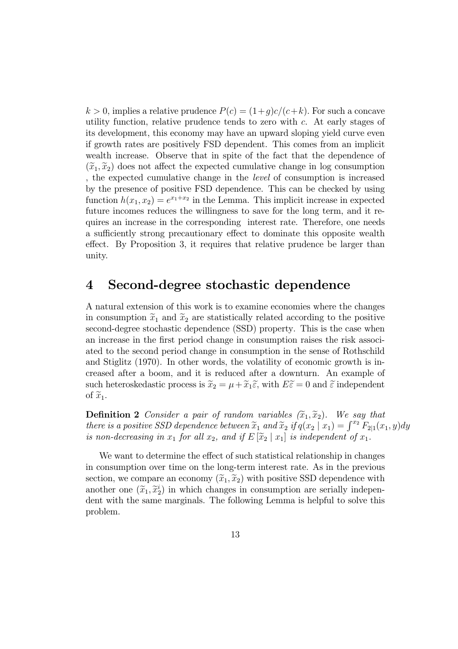$k > 0$ , implies a relative prudence  $P(c) = (1+q)c/(c+k)$ . For such a concave utility function, relative prudence tends to zero with  $c$ . At early stages of its development, this economy may have an upward sloping yield curve even if growth rates are positively FSD dependent. This comes from an implicit wealth increase. Observe that in spite of the fact that the dependence of  $(\widetilde{x}_1, \widetilde{x}_2)$  does not affect the expected cumulative change in log consumption , the expected cumulative change in the level of consumption is increased by the presence of positive FSD dependence. This can be checked by using function  $h(x_1, x_2) = e^{x_1+x_2}$  in the Lemma. This implicit increase in expected future incomes reduces the willingness to save for the long term, and it requires an increase in the corresponding interest rate. Therefore, one needs a sufficiently strong precautionary effect to dominate this opposite wealth effect. By Proposition 3, it requires that relative prudence be larger than unity.

## 4 Second-degree stochastic dependence

A natural extension of this work is to examine economies where the changes in consumption  $\tilde{x}_1$  and  $\tilde{x}_2$  are statistically related according to the positive second-degree stochastic dependence (SSD) property. This is the case when an increase in the first period change in consumption raises the risk associated to the second period change in consumption in the sense of Rothschild and Stiglitz (1970). In other words, the volatility of economic growth is increased after a boom, and it is reduced after a downturn. An example of such heteroskedastic process is  $\tilde{x}_2 = \mu + \tilde{x}_1 \tilde{\varepsilon}$ , with  $E \tilde{\varepsilon} = 0$  and  $\tilde{\varepsilon}$  independent of  $\widetilde{x}_1$ .

**Definition 2** Consider a pair of random variables  $(\widetilde{x}_1, \widetilde{x}_2)$ . We say that there is a positive SSD dependence between  $\widetilde{x}_1$  and  $\widetilde{x}_2$  if  $q(x_2 | x_1) = \int^{x_2} F_{2|1}(x_1, y) dy$ is non-decreasing in  $x_1$  for all  $x_2$ , and if  $E[\widetilde{x}_2 | x_1]$  is independent of  $x_1$ .

We want to determine the effect of such statistical relationship in changes in consumption over time on the long-term interest rate. As in the previous section, we compare an economy  $(\tilde{x}_1, \tilde{x}_2)$  with positive SSD dependence with another one  $(\widetilde{x}_1, \widetilde{x}_2^i)$  in which changes in consumption are serially independent dent with the same marginals. The following Lemma is helpful to solve this problem.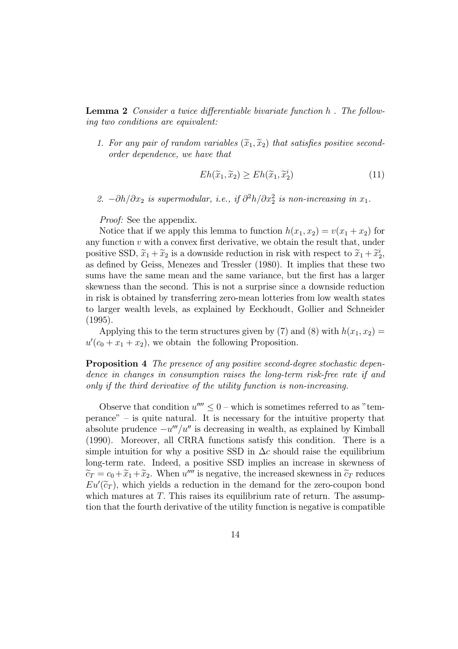Lemma 2 Consider a twice differentiable bivariate function h . The following two conditions are equivalent:

1. For any pair of random variables  $(\widetilde{x}_1, \widetilde{x}_2)$  that satisfies positive secondorder dependence, we have that

$$
Eh(\widetilde{x}_1, \widetilde{x}_2) \ge Eh(\widetilde{x}_1, \widetilde{x}_2^i) \tag{11}
$$

2.  $-\partial h/\partial x_2$  is supermodular, i.e., if  $\partial^2 h/\partial x_2^2$  is non-increasing in  $x_1$ .

Proof: See the appendix.

Notice that if we apply this lemma to function  $h(x_1, x_2) = v(x_1 + x_2)$  for any function  $v$  with a convex first derivative, we obtain the result that, under positive SSD,  $\tilde{x}_1 + \tilde{x}_2$  is a downside reduction in risk with respect to  $\tilde{x}_1 + \tilde{x}_2^i$ , as defined by Geiss, Menezes and Tressler (1980). It implies that these two sums have the same mean and the same variance, but the first has a larger skewness than the second. This is not a surprise since a downside reduction in risk is obtained by transferring zero-mean lotteries from low wealth states to larger wealth levels, as explained by Eeckhoudt, Gollier and Schneider (1995).

Applying this to the term structures given by (7) and (8) with  $h(x_1, x_2) =$  $u'(c_0 + x_1 + x_2)$ , we obtain the following Proposition.

Proposition 4 The presence of any positive second-degree stochastic dependence in changes in consumption raises the long-term risk-free rate if and only if the third derivative of the utility function is non-increasing.

Observe that condition  $u'''' \leq 0$  – which is sometimes referred to as "temperance" — is quite natural. It is necessary for the intuitive property that absolute prudence  $-u'''/u''$  is decreasing in wealth, as explained by Kimball (1990). Moreover, all CRRA functions satisfy this condition. There is a simple intuition for why a positive SSD in  $\Delta c$  should raise the equilibrium long-term rate. Indeed, a positive SSD implies an increase in skewness of  $\widetilde{c}_T = c_0 + \widetilde{x}_1 + \widetilde{x}_2$ . When u''' is negative, the increased skewness in  $\widetilde{c}_T$  reduces  $Eu'(\widetilde{c}_T)$ , which yields a reduction in the demand for the zero-coupon bond which matures at  $T$ . This raises its equilibrium rate of return. The assumption that the fourth derivative of the utility function is negative is compatible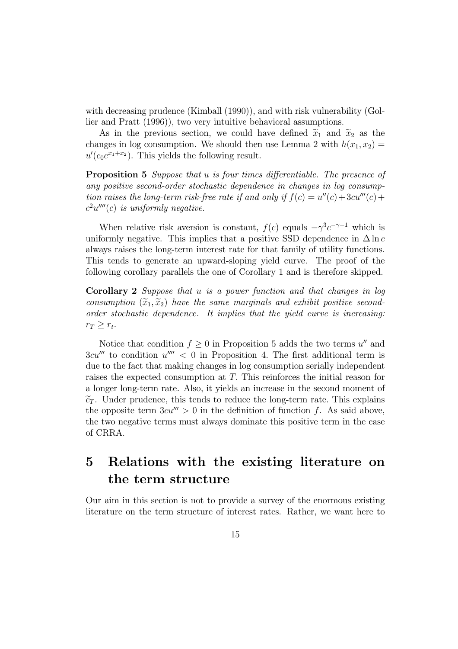with decreasing prudence (Kimball (1990)), and with risk vulnerability (Gollier and Pratt (1996)), two very intuitive behavioral assumptions.

As in the previous section, we could have defined  $\tilde{x}_1$  and  $\tilde{x}_2$  as the changes in log consumption. We should then use Lemma 2 with  $h(x_1, x_2) =$  $u'(c_0e^{x_1+x_2})$ . This yields the following result.

**Proposition 5** Suppose that u is four times differentiable. The presence of any positive second-order stochastic dependence in changes in log consumption raises the long-term risk-free rate if and only if  $f(c) = u''(c) + 3cu'''(c) +$  $c^2u''''(c)$  is uniformly negative.

When relative risk aversion is constant,  $f(c)$  equals  $-\gamma^3 c^{-\gamma-1}$  which is uniformly negative. This implies that a positive SSD dependence in  $\Delta \ln c$ always raises the long-term interest rate for that family of utility functions. This tends to generate an upward-sloping yield curve. The proof of the following corollary parallels the one of Corollary 1 and is therefore skipped.

Corollary 2 Suppose that u is a power function and that changes in log consumption  $(\widetilde{x}_1, \widetilde{x}_2)$  have the same marginals and exhibit positive secondorder stochastic dependence. It implies that the yield curve is increasing:  $r_T \geq r_t$ .

Notice that condition  $f \geq 0$  in Proposition 5 adds the two terms  $u''$  and  $3cu''''$  to condition  $u'''' < 0$  in Proposition 4. The first additional term is due to the fact that making changes in log consumption serially independent raises the expected consumption at T. This reinforces the initial reason for a longer long-term rate. Also, it yields an increase in the second moment of  $\tilde{c}_T$ . Under prudence, this tends to reduce the long-term rate. This explains the opposite term  $3cu''' > 0$  in the definition of function f. As said above, the two negative terms must always dominate this positive term in the case of CRRA.

# 5 Relations with the existing literature on the term structure

Our aim in this section is not to provide a survey of the enormous existing literature on the term structure of interest rates. Rather, we want here to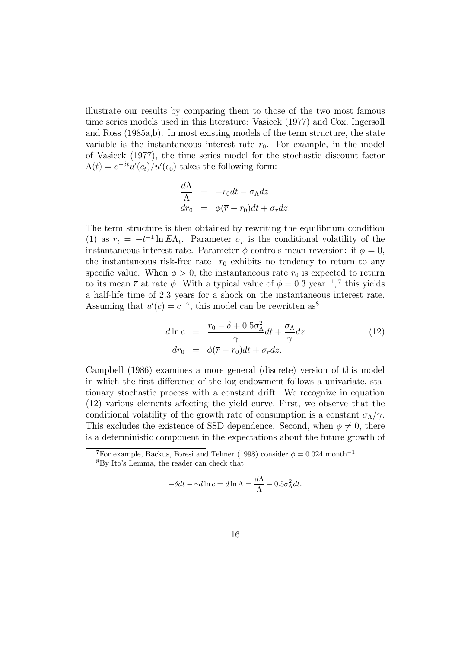illustrate our results by comparing them to those of the two most famous time series models used in this literature: Vasicek (1977) and Cox, Ingersoll and Ross (1985a,b). In most existing models of the term structure, the state variable is the instantaneous interest rate  $r_0$ . For example, in the model of Vasicek (1977), the time series model for the stochastic discount factor  $\Lambda(t) = e^{-\delta t} u'(c_t)/u'(c_0)$  takes the following form:

$$
\frac{d\Lambda}{\Lambda} = -r_0 dt - \sigma_\Lambda dz
$$
  
\n
$$
dr_0 = \phi(\overline{r} - r_0) dt + \sigma_r dz.
$$

The term structure is then obtained by rewriting the equilibrium condition (1) as  $r_t = -t^{-1} \ln E \Lambda_t$ . Parameter  $\sigma_r$  is the conditional volatility of the instantaneous interest rate. Parameter  $\phi$  controls mean reversion: if  $\phi = 0$ , the instantaneous risk-free rate  $r_0$  exhibits no tendency to return to any specific value. When  $\phi > 0$ , the instantaneous rate  $r_0$  is expected to return to its mean  $\bar{r}$  at rate  $\phi$ . With a typical value of  $\phi = 0.3 \text{ year}^{-1}$ , 7 this yields a half-life time of 2.3 years for a shock on the instantaneous interest rate. Assuming that  $u'(c) = c^{-\gamma}$ , this model can be rewritten as<sup>8</sup>

$$
d\ln c = \frac{r_0 - \delta + 0.5\sigma_\Lambda^2}{\gamma}dt + \frac{\sigma_\Lambda}{\gamma}dz
$$
  
\n
$$
dr_0 = \phi(\overline{r} - r_0)dt + \sigma_r dz.
$$
\n(12)

Campbell (1986) examines a more general (discrete) version of this model in which the first difference of the log endowment follows a univariate, stationary stochastic process with a constant drift. We recognize in equation (12) various elements affecting the yield curve. First, we observe that the conditional volatility of the growth rate of consumption is a constant  $\sigma_{\Lambda}/\gamma$ . This excludes the existence of SSD dependence. Second, when  $\phi \neq 0$ , there is a deterministic component in the expectations about the future growth of

$$
-\delta dt - \gamma d \ln c = d \ln \Lambda = \frac{d\Lambda}{\Lambda} - 0.5\sigma_{\Lambda}^2 dt.
$$

<sup>&</sup>lt;sup>7</sup>For example, Backus, Foresi and Telmer (1998) consider  $\phi = 0.024$  month<sup>-1</sup>.

<sup>8</sup>By Ito's Lemma, the reader can check that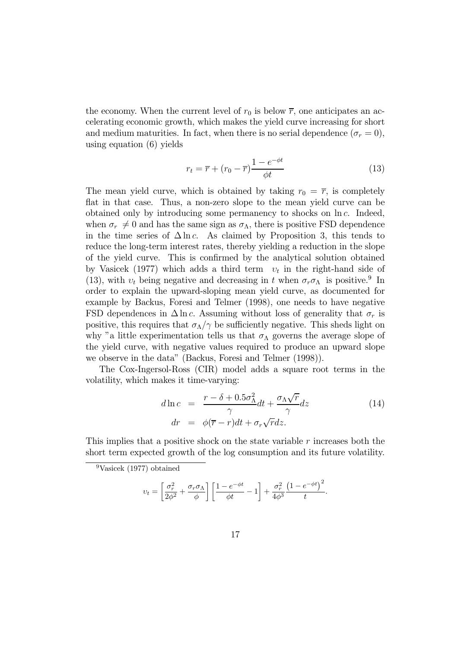the economy. When the current level of  $r_0$  is below  $\overline{r}$ , one anticipates an accelerating economic growth, which makes the yield curve increasing for short and medium maturities. In fact, when there is no serial dependence  $(\sigma_r = 0)$ , using equation (6) yields

$$
r_t = \overline{r} + (r_0 - \overline{r}) \frac{1 - e^{-\phi t}}{\phi t}
$$
\n(13)

The mean yield curve, which is obtained by taking  $r_0 = \overline{r}$ , is completely flat in that case. Thus, a non-zero slope to the mean yield curve can be obtained only by introducing some permanency to shocks on  $\ln c$ . Indeed, when  $\sigma_r \neq 0$  and has the same sign as  $\sigma_{\Lambda}$ , there is positive FSD dependence in the time series of  $\Delta \ln c$ . As claimed by Proposition 3, this tends to reduce the long-term interest rates, thereby yielding a reduction in the slope of the yield curve. This is confirmed by the analytical solution obtained by Vasicek (1977) which adds a third term  $v_t$  in the right-hand side of (13), with  $v_t$  being negative and decreasing in t when  $\sigma_r \sigma_\Lambda$  is positive.<sup>9</sup> In order to explain the upward-sloping mean yield curve, as documented for example by Backus, Foresi and Telmer (1998), one needs to have negative FSD dependences in  $\Delta \ln c$ . Assuming without loss of generality that  $\sigma_r$  is positive, this requires that  $\sigma_{\Lambda}/\gamma$  be sufficiently negative. This sheds light on why "a little experimentation tells us that  $\sigma_{\Lambda}$  governs the average slope of the yield curve, with negative values required to produce an upward slope we observe in the data" (Backus, Foresi and Telmer (1998)).

The Cox-Ingersol-Ross (CIR) model adds a square root terms in the volatility, which makes it time-varying:

$$
d\ln c = \frac{r - \delta + 0.5\sigma_{\Lambda}^2}{\gamma}dt + \frac{\sigma_{\Lambda}\sqrt{r}}{\gamma}dz
$$
  
\n
$$
dr = \phi(\overline{r} - r)dt + \sigma_r\sqrt{r}dz.
$$
\n(14)

This implies that a positive shock on the state variable  $r$  increases both the short term expected growth of the log consumption and its future volatility.

$$
v_t = \left[\frac{\sigma_r^2}{2\phi^2} + \frac{\sigma_r \sigma_\Lambda}{\phi}\right] \left[\frac{1 - e^{-\phi t}}{\phi t} - 1\right] + \frac{\sigma_r^2}{4\phi^3} \frac{\left(1 - e^{-\phi t}\right)^2}{t}.
$$

<sup>9</sup>Vasicek (1977) obtained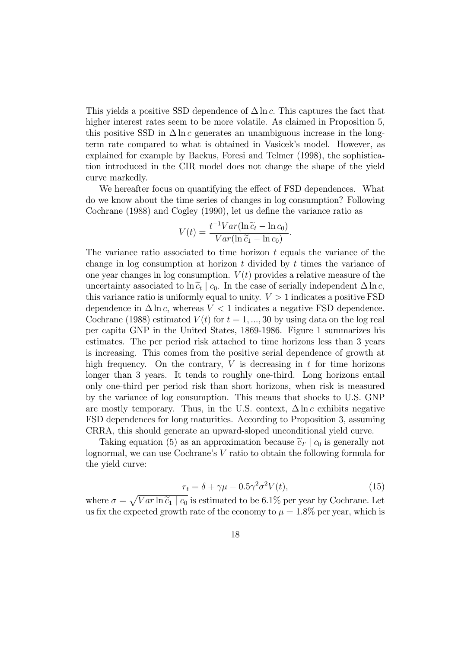This yields a positive SSD dependence of  $\Delta \ln c$ . This captures the fact that higher interest rates seem to be more volatile. As claimed in Proposition 5, this positive SSD in  $\Delta \ln c$  generates an unambiguous increase in the longterm rate compared to what is obtained in Vasicek's model. However, as explained for example by Backus, Foresi and Telmer (1998), the sophistication introduced in the CIR model does not change the shape of the yield curve markedly.

We hereafter focus on quantifying the effect of FSD dependences. What do we know about the time series of changes in log consumption? Following Cochrane (1988) and Cogley (1990), let us define the variance ratio as

$$
V(t) = \frac{t^{-1}Var(\ln \widetilde{c}_t - \ln c_0)}{Var(\ln \widetilde{c}_1 - \ln c_0)}.
$$

The variance ratio associated to time horizon  $t$  equals the variance of the change in log consumption at horizon  $t$  divided by  $t$  times the variance of one year changes in log consumption.  $V(t)$  provides a relative measure of the uncertainty associated to ln $\tilde{c}_t | c_0$ . In the case of serially independent  $\Delta \ln c$ , this variance ratio is uniformly equal to unity.  $V > 1$  indicates a positive FSD dependence in  $\Delta \ln c$ , whereas  $V < 1$  indicates a negative FSD dependence. Cochrane (1988) estimated  $V(t)$  for  $t = 1, ..., 30$  by using data on the log real per capita GNP in the United States, 1869-1986. Figure 1 summarizes his estimates. The per period risk attached to time horizons less than 3 years is increasing. This comes from the positive serial dependence of growth at high frequency. On the contrary,  $V$  is decreasing in  $t$  for time horizons longer than 3 years. It tends to roughly one-third. Long horizons entail only one-third per period risk than short horizons, when risk is measured by the variance of log consumption. This means that shocks to U.S. GNP are mostly temporary. Thus, in the U.S. context,  $\Delta \ln c$  exhibits negative FSD dependences for long maturities. According to Proposition 3, assuming CRRA, this should generate an upward-sloped unconditional yield curve.

Taking equation (5) as an approximation because  $\tilde{c}_T \mid c_0$  is generally not lognormal, we can use Cochrane's V ratio to obtain the following formula for the yield curve:

$$
r_t = \delta + \gamma \mu - 0.5 \gamma^2 \sigma^2 V(t), \qquad (15)
$$

where  $\sigma = \sqrt{Var \ln \widetilde{c}_1 | c_0}$  is estimated to be 6.1% per year by Cochrane. Let us fix the expected growth rate of the economy to  $\mu = 1.8\%$  per year, which is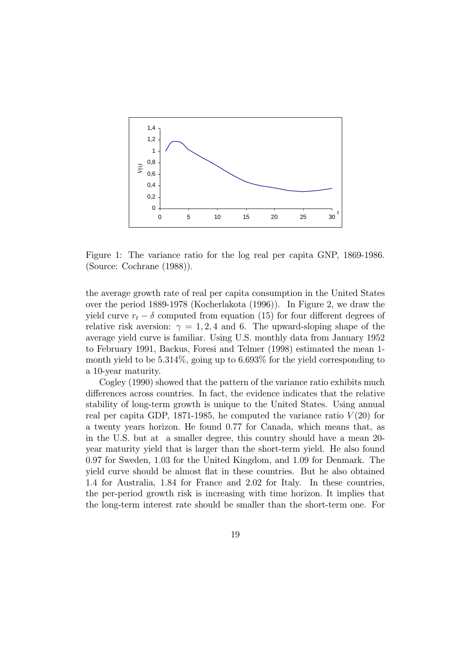

Figure 1: The variance ratio for the log real per capita GNP, 1869-1986. (Source: Cochrane (1988)).

the average growth rate of real per capita consumption in the United States over the period 1889-1978 (Kocherlakota (1996)). In Figure 2, we draw the yield curve  $r_t - \delta$  computed from equation (15) for four different degrees of relative risk aversion:  $\gamma = 1, 2, 4$  and 6. The upward-sloping shape of the average yield curve is familiar. Using U.S. monthly data from January 1952 to February 1991, Backus, Foresi and Telmer (1998) estimated the mean 1 month yield to be 5.314%, going up to 6.693% for the yield corresponding to a 10-year maturity.

Cogley (1990) showed that the pattern of the variance ratio exhibits much differences across countries. In fact, the evidence indicates that the relative stability of long-term growth is unique to the United States. Using annual real per capita GDP, 1871-1985, he computed the variance ratio  $V(20)$  for a twenty years horizon. He found 0.77 for Canada, which means that, as in the U.S. but at a smaller degree, this country should have a mean 20 year maturity yield that is larger than the short-term yield. He also found 0.97 for Sweden, 1.03 for the United Kingdom, and 1.09 for Denmark. The yield curve should be almost flat in these countries. But he also obtained 1.4 for Australia, 1.84 for France and 2.02 for Italy. In these countries, the per-period growth risk is increasing with time horizon. It implies that the long-term interest rate should be smaller than the short-term one. For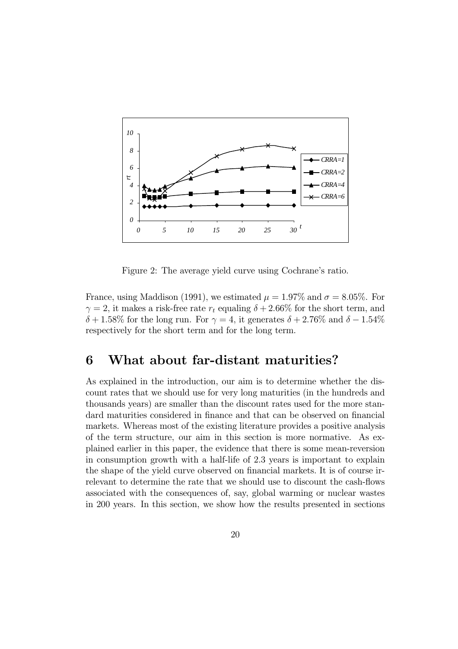

Figure 2: The average yield curve using Cochrane's ratio.

France, using Maddison (1991), we estimated  $\mu = 1.97\%$  and  $\sigma = 8.05\%$ . For  $\gamma = 2$ , it makes a risk-free rate  $r_t$  equaling  $\delta + 2.66\%$  for the short term, and  $\delta + 1.58\%$  for the long run. For  $\gamma = 4$ , it generates  $\delta + 2.76\%$  and  $\delta - 1.54\%$ respectively for the short term and for the long term.

## 6 What about far-distant maturities?

As explained in the introduction, our aim is to determine whether the discount rates that we should use for very long maturities (in the hundreds and thousands years) are smaller than the discount rates used for the more standard maturities considered in finance and that can be observed on financial markets. Whereas most of the existing literature provides a positive analysis of the term structure, our aim in this section is more normative. As explained earlier in this paper, the evidence that there is some mean-reversion in consumption growth with a half-life of 2.3 years is important to explain the shape of the yield curve observed on financial markets. It is of course irrelevant to determine the rate that we should use to discount the cash-flows associated with the consequences of, say, global warming or nuclear wastes in 200 years. In this section, we show how the results presented in sections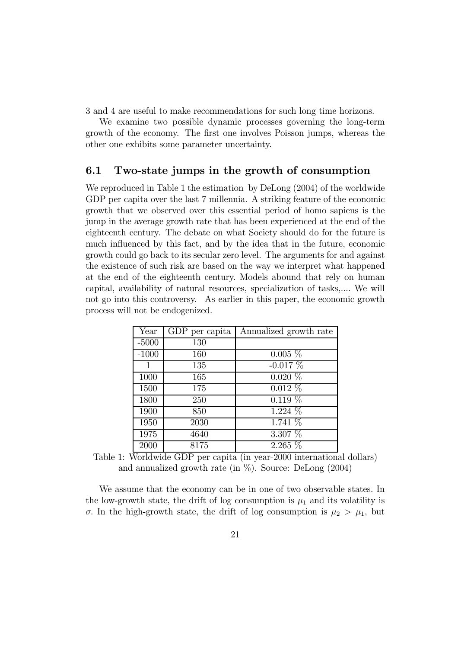3 and 4 are useful to make recommendations for such long time horizons.

We examine two possible dynamic processes governing the long-term growth of the economy. The first one involves Poisson jumps, whereas the other one exhibits some parameter uncertainty.

## 6.1 Two-state jumps in the growth of consumption

We reproduced in Table 1 the estimation by DeLong (2004) of the worldwide GDP per capita over the last 7 millennia. A striking feature of the economic growth that we observed over this essential period of homo sapiens is the jump in the average growth rate that has been experienced at the end of the eighteenth century. The debate on what Society should do for the future is much influenced by this fact, and by the idea that in the future, economic growth could go back to its secular zero level. The arguments for and against the existence of such risk are based on the way we interpret what happened at the end of the eighteenth century. Models abound that rely on human capital, availability of natural resources, specialization of tasks,.... We will not go into this controversy. As earlier in this paper, the economic growth process will not be endogenized.

| Year    | GDP per capita | Annualized growth rate |
|---------|----------------|------------------------|
| $-5000$ | 130            |                        |
| $-1000$ | 160            | $0.005\%$              |
| 1       | 135            | $-0.017\%$             |
| 1000    | 165            | $0.020\%$              |
| 1500    | 175            | $0.012\%$              |
| 1800    | 250            | $0.119\%$              |
| 1900    | 850            | 1.224 %                |
| 1950    | 2030           | $1.741\%$              |
| 1975    | 4640           | 3.307 %                |
| 2000    | 8175           | $2.265\%$              |

Table 1: Worldwide GDP per capita (in year-2000 international dollars) and annualized growth rate (in  $\%$ ). Source: DeLong (2004)

We assume that the economy can be in one of two observable states. In the low-growth state, the drift of log consumption is  $\mu_1$  and its volatility is σ. In the high-growth state, the drift of log consumption is  $\mu_2 > \mu_1$ , but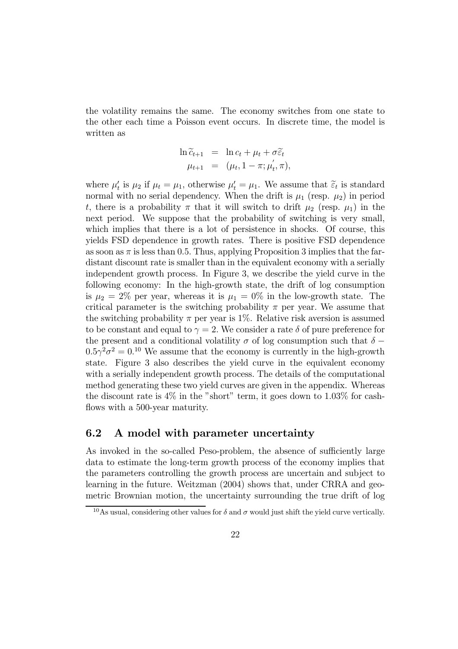the volatility remains the same. The economy switches from one state to the other each time a Poisson event occurs. In discrete time, the model is written as

$$
\ln \widetilde{c}_{t+1} = \ln c_t + \mu_t + \sigma \widetilde{\varepsilon}_t \n\mu_{t+1} = (\mu_t, 1 - \pi; \mu_t', \pi),
$$

where  $\mu'_t$  is  $\mu_2$  if  $\mu_t = \mu_1$ , otherwise  $\mu'_t = \mu_1$ . We assume that  $\tilde{\epsilon}_t$  is standard normal with no serial dependency. When the drift is  $\mu_1$  (resp.  $\mu_2$ ) in period t, there is a probability  $\pi$  that it will switch to drift  $\mu_2$  (resp.  $\mu_1$ ) in the next period. We suppose that the probability of switching is very small, which implies that there is a lot of persistence in shocks. Of course, this yields FSD dependence in growth rates. There is positive FSD dependence as soon as  $\pi$  is less than 0.5. Thus, applying Proposition 3 implies that the fardistant discount rate is smaller than in the equivalent economy with a serially independent growth process. In Figure 3, we describe the yield curve in the following economy: In the high-growth state, the drift of log consumption is  $\mu_2 = 2\%$  per year, whereas it is  $\mu_1 = 0\%$  in the low-growth state. The critical parameter is the switching probability  $\pi$  per year. We assume that the switching probability  $\pi$  per year is 1%. Relative risk aversion is assumed to be constant and equal to  $\gamma = 2$ . We consider a rate  $\delta$  of pure preference for the present and a conditional volatility  $\sigma$  of log consumption such that  $\delta$  −  $0.5\gamma^2\sigma^2 = 0.10$  We assume that the economy is currently in the high-growth state. Figure 3 also describes the yield curve in the equivalent economy with a serially independent growth process. The details of the computational method generating these two yield curves are given in the appendix. Whereas the discount rate is  $4\%$  in the "short" term, it goes down to  $1.03\%$  for cashflows with a 500-year maturity.

### 6.2 A model with parameter uncertainty

As invoked in the so-called Peso-problem, the absence of sufficiently large data to estimate the long-term growth process of the economy implies that the parameters controlling the growth process are uncertain and subject to learning in the future. Weitzman (2004) shows that, under CRRA and geometric Brownian motion, the uncertainty surrounding the true drift of log

<sup>&</sup>lt;sup>10</sup>As usual, considering other values for  $\delta$  and  $\sigma$  would just shift the yield curve vertically.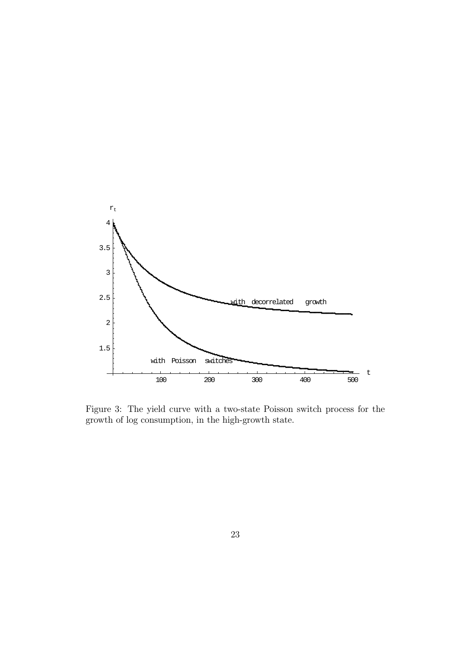

Figure 3: The yield curve with a two-state Poisson switch process for the growth of log consumption, in the high-growth state.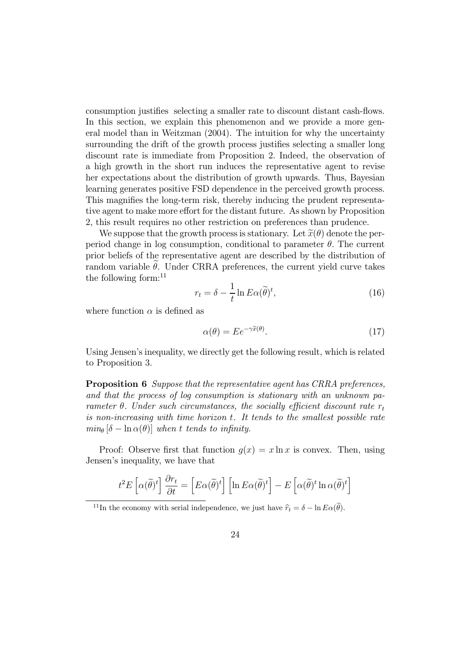consumption justifies selecting a smaller rate to discount distant cash-flows. In this section, we explain this phenomenon and we provide a more general model than in Weitzman (2004). The intuition for why the uncertainty surrounding the drift of the growth process justifies selecting a smaller long discount rate is immediate from Proposition 2. Indeed, the observation of a high growth in the short run induces the representative agent to revise her expectations about the distribution of growth upwards. Thus, Bayesian learning generates positive FSD dependence in the perceived growth process. This magnifies the long-term risk, thereby inducing the prudent representative agent to make more effort for the distant future. As shown by Proposition 2, this result requires no other restriction on preferences than prudence.

We suppose that the growth process is stationary. Let  $\tilde{x}(\theta)$  denote the perperiod change in log consumption, conditional to parameter  $\theta$ . The current prior beliefs of the representative agent are described by the distribution of random variable  $\theta$ . Under CRRA preferences, the current yield curve takes the following form: $^{11}$ 

$$
r_t = \delta - \frac{1}{t} \ln E \alpha(\tilde{\theta})^t,\tag{16}
$$

where function  $\alpha$  is defined as

$$
\alpha(\theta) = E e^{-\gamma \tilde{x}(\theta)}.
$$
\n(17)

Using Jensen's inequality, we directly get the following result, which is related to Proposition 3.

Proposition 6 Suppose that the representative agent has CRRA preferences, and that the process of log consumption is stationary with an unknown parameter  $\theta$ . Under such circumstances, the socially efficient discount rate  $r_t$ is non-increasing with time horizon t. It tends to the smallest possible rate  $min_{\theta} [\delta - \ln \alpha(\theta)]$  when t tends to infinity.

Proof: Observe first that function  $q(x) = x \ln x$  is convex. Then, using Jensen's inequality, we have that

$$
t^{2}E\left[\alpha(\widetilde{\theta})^{t}\right]\frac{\partial r_{t}}{\partial t} = \left[E\alpha(\widetilde{\theta})^{t}\right]\left[\ln E\alpha(\widetilde{\theta})^{t}\right] - E\left[\alpha(\widetilde{\theta})^{t}\ln\alpha(\widetilde{\theta})^{t}\right]
$$

<sup>&</sup>lt;sup>11</sup>In the economy with serial independence, we just have  $\hat{r}_t = \delta - \ln E\alpha(\theta)$ .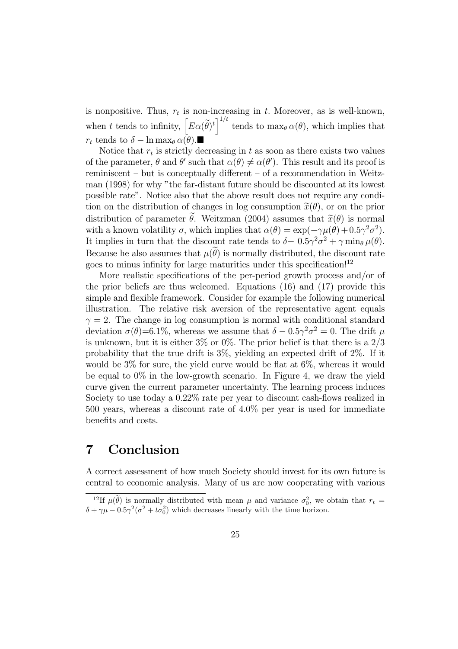is nonpositive. Thus,  $r_t$  is non-increasing in t. Moreover, as is well-known, when t tends to infinity,  $\left[ E\alpha(\tilde{\theta})^t \right]^{1/t}$  tends to  $\max_{\theta} \alpha(\theta)$ , which implies that  $r_t$  tends to  $\delta - \ln \max_{\theta} \alpha(\theta)$ .

Notice that  $r_t$  is strictly decreasing in t as soon as there exists two values of the parameter,  $\theta$  and  $\theta'$  such that  $\alpha(\theta) \neq \alpha(\theta')$ . This result and its proof is reminiscent — but is conceptually different — of a recommendation in Weitzman (1998) for why "the far-distant future should be discounted at its lowest possible rate". Notice also that the above result does not require any condition on the distribution of changes in log consumption  $\tilde{x}(\theta)$ , or on the prior distribution of parameter  $\theta$ . Weitzman (2004) assumes that  $\tilde{x}(\theta)$  is normal with a known volatility  $\sigma$ , which implies that  $\alpha(\theta) = \exp(-\gamma \mu(\theta) + 0.5\gamma^2 \sigma^2)$ . It implies in turn that the discount rate tends to  $\delta - 0.5\gamma^2 \sigma^2 + \gamma \min_{\theta} \mu(\theta)$ . Because he also assumes that  $\mu(\theta)$  is normally distributed, the discount rate goes to minus infinity for large maturities under this specification!<sup>12</sup>

More realistic specifications of the per-period growth process and/or of the prior beliefs are thus welcomed. Equations (16) and (17) provide this simple and flexible framework. Consider for example the following numerical illustration. The relative risk aversion of the representative agent equals  $\gamma = 2$ . The change in log consumption is normal with conditional standard deviation  $\sigma(\theta)$ =6.1%, whereas we assume that  $\delta - 0.5\gamma^2 \sigma^2 = 0$ . The drift  $\mu$ is unknown, but it is either  $3\%$  or  $0\%$ . The prior belief is that there is a  $2/3$ probability that the true drift is 3%, yielding an expected drift of 2%. If it would be 3% for sure, the yield curve would be flat at 6%, whereas it would be equal to  $0\%$  in the low-growth scenario. In Figure 4, we draw the yield curve given the current parameter uncertainty. The learning process induces Society to use today a 0.22% rate per year to discount cash-flows realized in 500 years, whereas a discount rate of 4.0% per year is used for immediate benefits and costs.

# 7 Conclusion

A correct assessment of how much Society should invest for its own future is central to economic analysis. Many of us are now cooperating with various

<sup>&</sup>lt;sup>12</sup>If  $\mu(\theta)$  is normally distributed with mean  $\mu$  and variance  $\sigma_0^2$ , we obtain that  $r_t =$  $\delta + \gamma \mu - 0.5\gamma^2 (\sigma^2 + t\sigma_0^2)$  which decreases linearly with the time horizon.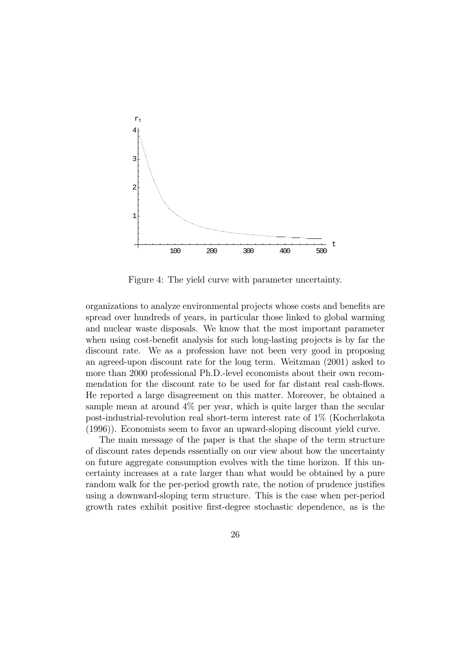

Figure 4: The yield curve with parameter uncertainty.

organizations to analyze environmental projects whose costs and benefits are spread over hundreds of years, in particular those linked to global warming and nuclear waste disposals. We know that the most important parameter when using cost-benefit analysis for such long-lasting projects is by far the discount rate. We as a profession have not been very good in proposing an agreed-upon discount rate for the long term. Weitzman (2001) asked to more than 2000 professional Ph.D.-level economists about their own recommendation for the discount rate to be used for far distant real cash-flows. He reported a large disagreement on this matter. Moreover, he obtained a sample mean at around 4% per year, which is quite larger than the secular post-industrial-revolution real short-term interest rate of 1% (Kocherlakota (1996)). Economists seem to favor an upward-sloping discount yield curve.

The main message of the paper is that the shape of the term structure of discount rates depends essentially on our view about how the uncertainty on future aggregate consumption evolves with the time horizon. If this uncertainty increases at a rate larger than what would be obtained by a pure random walk for the per-period growth rate, the notion of prudence justifies using a downward-sloping term structure. This is the case when per-period growth rates exhibit positive first-degree stochastic dependence, as is the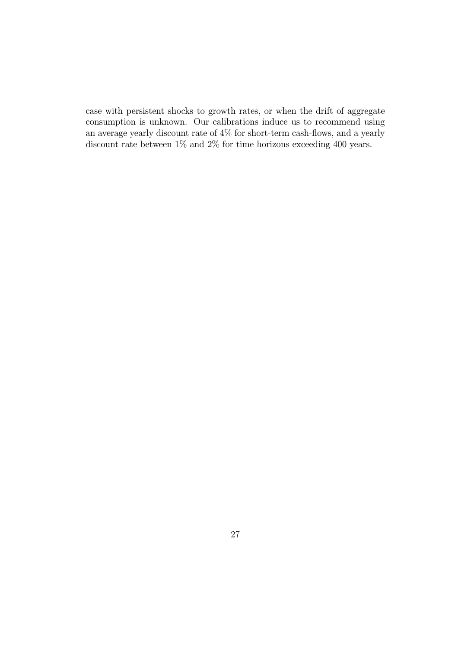case with persistent shocks to growth rates, or when the drift of aggregate consumption is unknown. Our calibrations induce us to recommend using an average yearly discount rate of 4% for short-term cash-flows, and a yearly discount rate between  $1\%$  and  $2\%$  for time horizons exceeding  $400$  years.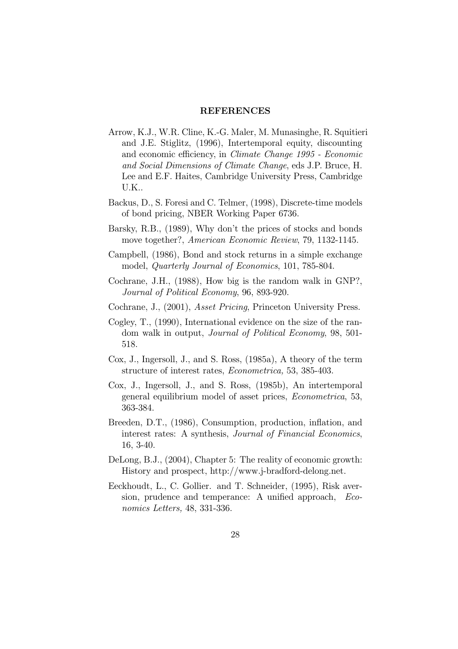#### REFERENCES

- Arrow, K.J., W.R. Cline, K.-G. Maler, M. Munasinghe, R. Squitieri and J.E. Stiglitz, (1996), Intertemporal equity, discounting and economic efficiency, in Climate Change 1995 - Economic and Social Dimensions of Climate Change, eds J.P. Bruce, H. Lee and E.F. Haites, Cambridge University Press, Cambridge U.K..
- Backus, D., S. Foresi and C. Telmer, (1998), Discrete-time models of bond pricing, NBER Working Paper 6736.
- Barsky, R.B., (1989), Why don't the prices of stocks and bonds move together?, American Economic Review, 79, 1132-1145.
- Campbell, (1986), Bond and stock returns in a simple exchange model, Quarterly Journal of Economics, 101, 785-804.
- Cochrane, J.H., (1988), How big is the random walk in GNP?, Journal of Political Economy, 96, 893-920.
- Cochrane, J., (2001), Asset Pricing, Princeton University Press.
- Cogley, T., (1990), International evidence on the size of the random walk in output, Journal of Political Economy, 98, 501- 518.
- Cox, J., Ingersoll, J., and S. Ross, (1985a), A theory of the term structure of interest rates, Econometrica, 53, 385-403.
- Cox, J., Ingersoll, J., and S. Ross, (1985b), An intertemporal general equilibrium model of asset prices, Econometrica, 53, 363-384.
- Breeden, D.T., (1986), Consumption, production, inflation, and interest rates: A synthesis, Journal of Financial Economics, 16, 3-40.
- DeLong, B.J., (2004), Chapter 5: The reality of economic growth: History and prospect, http://www.j-bradford-delong.net.
- Eeckhoudt, L., C. Gollier. and T. Schneider, (1995), Risk aversion, prudence and temperance: A unified approach, Economics Letters, 48, 331-336.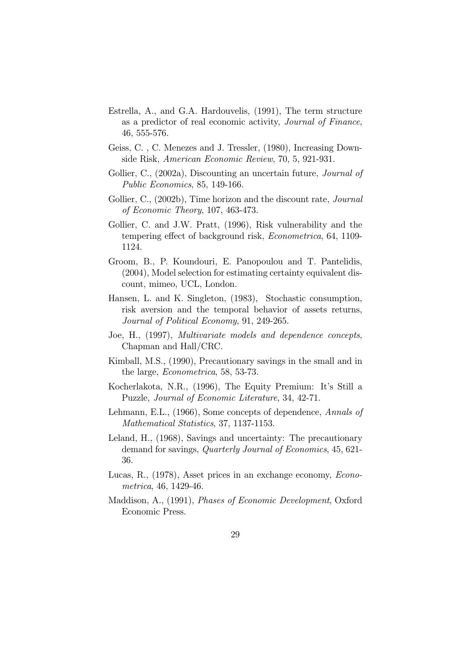- Estrella, A., and G.A. Hardouvelis, (1991), The term structure as a predictor of real economic activity, Journal of Finance, 46, 555-576.
- Geiss, C. , C. Menezes and J. Tressler, (1980), Increasing Downside Risk, American Economic Review, 70, 5, 921-931.
- Gollier, C., (2002a), Discounting an uncertain future, *Journal of* Public Economics, 85, 149-166.
- Gollier, C., (2002b), Time horizon and the discount rate, *Journal* of Economic Theory, 107, 463-473.
- Gollier, C. and J.W. Pratt, (1996), Risk vulnerability and the tempering effect of background risk, Econometrica, 64, 1109- 1124.
- Groom, B., P. Koundouri, E. Panopoulou and T. Pantelidis, (2004), Model selection for estimating certainty equivalent discount, mimeo, UCL, London.
- Hansen, L. and K. Singleton, (1983), Stochastic consumption, risk aversion and the temporal behavior of assets returns, Journal of Political Economy, 91, 249-265.
- Joe, H., (1997), Multivariate models and dependence concepts, Chapman and Hall/CRC.
- Kimball, M.S., (1990), Precautionary savings in the small and in the large, Econometrica, 58, 53-73.
- Kocherlakota, N.R., (1996), The Equity Premium: It's Still a Puzzle, Journal of Economic Literature, 34, 42-71.
- Lehmann, E.L., (1966), Some concepts of dependence, Annals of Mathematical Statistics, 37, 1137-1153.
- Leland, H., (1968), Savings and uncertainty: The precautionary demand for savings, Quarterly Journal of Economics, 45, 621- 36.
- Lucas, R., (1978), Asset prices in an exchange economy, Econometrica, 46, 1429-46.
- Maddison, A., (1991), Phases of Economic Development, Oxford Economic Press.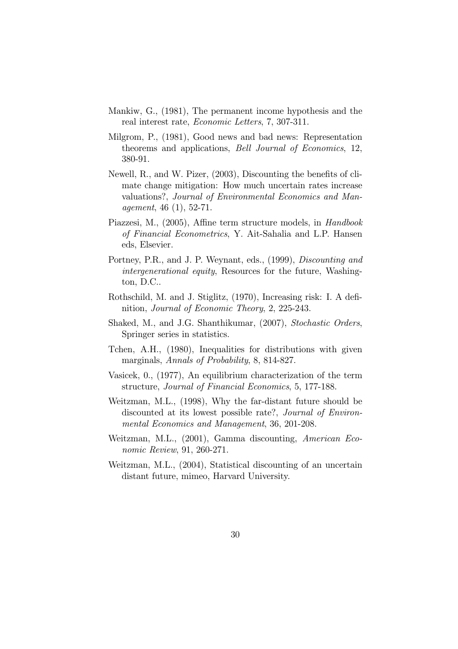- Mankiw, G., (1981), The permanent income hypothesis and the real interest rate, Economic Letters, 7, 307-311.
- Milgrom, P., (1981), Good news and bad news: Representation theorems and applications, Bell Journal of Economics, 12, 380-91.
- Newell, R., and W. Pizer, (2003), Discounting the benefits of climate change mitigation: How much uncertain rates increase valuations?, Journal of Environmental Economics and Management, 46 (1), 52-71.
- Piazzesi, M., (2005), Affine term structure models, in Handbook of Financial Econometrics, Y. Ait-Sahalia and L.P. Hansen eds, Elsevier.
- Portney, P.R., and J. P. Weynant, eds., (1999), Discounting and intergenerational equity, Resources for the future, Washington, D.C..
- Rothschild, M. and J. Stiglitz, (1970), Increasing risk: I. A definition, Journal of Economic Theory, 2, 225-243.
- Shaked, M., and J.G. Shanthikumar, (2007), Stochastic Orders, Springer series in statistics.
- Tchen, A.H., (1980), Inequalities for distributions with given marginals, Annals of Probability, 8, 814-827.
- Vasicek, 0., (1977), An equilibrium characterization of the term structure, Journal of Financial Economics, 5, 177-188.
- Weitzman, M.L., (1998), Why the far-distant future should be discounted at its lowest possible rate?, Journal of Environmental Economics and Management, 36, 201-208.
- Weitzman, M.L., (2001), Gamma discounting, American Economic Review, 91, 260-271.
- Weitzman, M.L., (2004), Statistical discounting of an uncertain distant future, mimeo, Harvard University.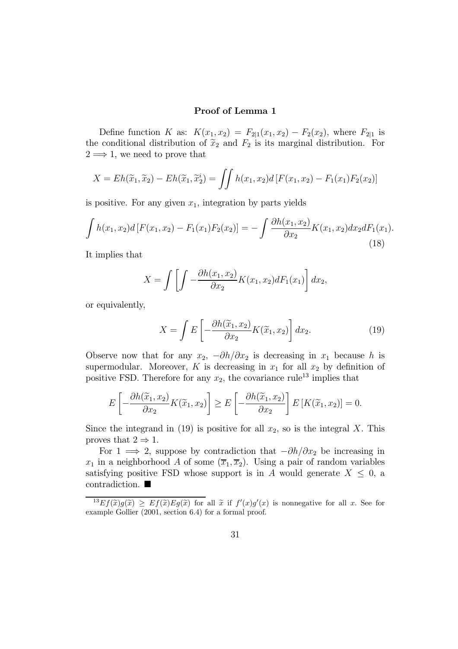### Proof of Lemma 1

Define function K as:  $K(x_1, x_2) = F_{2|1}(x_1, x_2) - F_2(x_2)$ , where  $F_{2|1}$  is the conditional distribution of  $\tilde{x}_2$  and  $F_2$  is its marginal distribution. For  $2 \implies 1$ , we need to prove that

$$
X = Eh(\widetilde{x}_1, \widetilde{x}_2) - Eh(\widetilde{x}_1, \widetilde{x}_2^i) = \iint h(x_1, x_2) d[F(x_1, x_2) - F_1(x_1)F_2(x_2)]
$$

is positive. For any given  $x_1$ , integration by parts yields

$$
\int h(x_1, x_2) d\left[F(x_1, x_2) - F_1(x_1) F_2(x_2)\right] = -\int \frac{\partial h(x_1, x_2)}{\partial x_2} K(x_1, x_2) dx_2 dF_1(x_1).
$$
\n(18)

It implies that

$$
X = \int \left[ \int -\frac{\partial h(x_1, x_2)}{\partial x_2} K(x_1, x_2) dF_1(x_1) \right] dx_2,
$$

or equivalently,

$$
X = \int E\left[-\frac{\partial h(\widetilde{x}_1, x_2)}{\partial x_2} K(\widetilde{x}_1, x_2)\right] dx_2.
$$
 (19)

Observe now that for any  $x_2$ ,  $-\partial h/\partial x_2$  is decreasing in  $x_1$  because h is supermodular. Moreover, K is decreasing in  $x_1$  for all  $x_2$  by definition of positive FSD. Therefore for any  $x_2$ , the covariance rule<sup>13</sup> implies that

$$
E\left[-\frac{\partial h(\widetilde{x}_1, x_2)}{\partial x_2} K(\widetilde{x}_1, x_2)\right] \ge E\left[-\frac{\partial h(\widetilde{x}_1, x_2)}{\partial x_2}\right] E\left[K(\widetilde{x}_1, x_2)\right] = 0.
$$

Since the integrand in (19) is positive for all  $x_2$ , so is the integral X. This proves that  $2 \Rightarrow 1$ .

For 1  $\implies$  2, suppose by contradiction that  $-\partial h/\partial x_2$  be increasing in  $x_1$  in a neighborhood A of some  $(\overline{x}_1, \overline{x}_2)$ . Using a pair of random variables satisfying positive FSD whose support is in A would generate  $X \leq 0$ , a contradiction.  $\blacksquare$ 

 $^{13}Ef(\tilde{x})g(\tilde{x}) \ge Ef(\tilde{x})Eg(\tilde{x})$  for all  $\tilde{x}$  if  $f'(x)g'(x)$  is nonnegative for all x. See for example Gollier (2001, section 6.4) for a formal proof.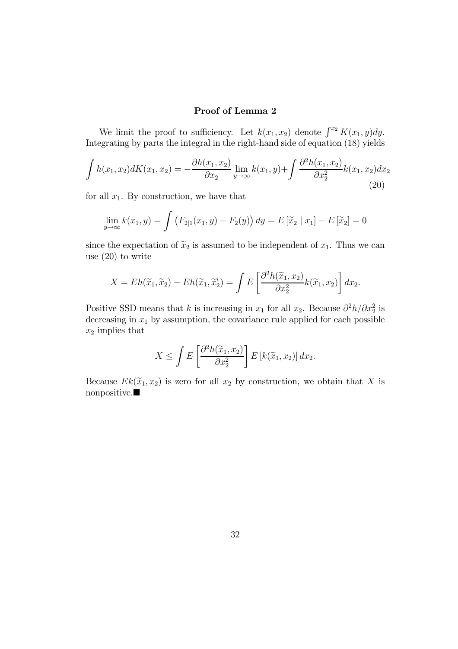### Proof of Lemma 2

We limit the proof to sufficiency. Let  $k(x_1, x_2)$  denote  $\int^{x_2} K(x_1, y) dy$ . Integrating by parts the integral in the right-hand side of equation (18) yields

$$
\int h(x_1, x_2) dK(x_1, x_2) = -\frac{\partial h(x_1, x_2)}{\partial x_2} \lim_{y \to \infty} k(x_1, y) + \int \frac{\partial^2 h(x_1, x_2)}{\partial x_2^2} k(x_1, x_2) dx_2
$$
\n(20)

for all  $x_1$ . By construction, we have that

$$
\lim_{y \to \infty} k(x_1, y) = \int (F_{2|1}(x_1, y) - F_2(y)) dy = E[\widetilde{x}_2 | x_1] - E[\widetilde{x}_2] = 0
$$

since the expectation of  $\tilde{x}_2$  is assumed to be independent of  $x_1$ . Thus we can use (20) to write

$$
X = Eh(\widetilde{x}_1, \widetilde{x}_2) - Eh(\widetilde{x}_1, \widetilde{x}_2^i) = \int E\left[\frac{\partial^2 h(\widetilde{x}_1, x_2)}{\partial x_2^2} k(\widetilde{x}_1, x_2)\right] dx_2.
$$

Positive SSD means that k is increasing in  $x_1$  for all  $x_2$ . Because  $\partial^2 h / \partial x_2^2$  is decreasing in  $x_1$  by assumption, the covariance rule applied for each possible  $x_2$  implies that

$$
X \leq \int E\left[\frac{\partial^2 h(\widetilde{x}_1, x_2)}{\partial x_2^2}\right] E\left[k(\widetilde{x}_1, x_2)\right] dx_2.
$$

Because  $Ek(\tilde{x}_1, x_2)$  is zero for all  $x_2$  by construction, we obtain that X is  $nonpositive.$